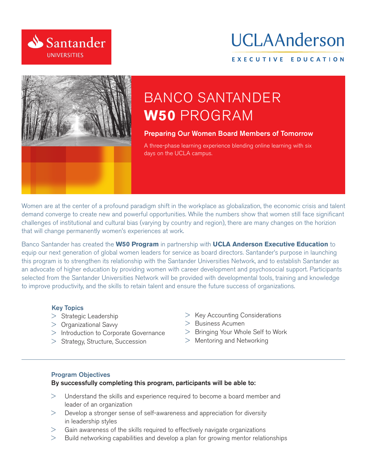

# UCLAAnderson

#### EXECUTIVE EDUCATION



# **BANCO SANTANDER W50 PROGRAM**

#### **Preparing Our Women Board Members of Tomorrow**

A three-phase learning experience blending online learning with six days on the UCLA campus.

Women are at the center of a profound paradigm shift in the workplace as globalization, the economic crisis and talent demand converge to create new and powerful opportunities. While the numbers show that women still face significant challenges of institutional and cultural bias (varying by country and region), there are many changes on the horizion that will change permanently women's experiences at work.

Banco Santander has created the W50 Program in partnership with UCLA Anderson Executive Education to equip our next generation of global women leaders for service as board directors. Santander's purpose in launching this program is to strengthen its relationship with the Santander Universities Network, and to establish Santander as an advocate of higher education by providing women with career development and psychosocial support. Participants selected from the Santander Universities Network will be provided with developmental tools, training and knowledge to improve productivity, and the skills to retain talent and ensure the future success of organizations.

#### **Key Topics**

- > Strategic Leadership
- $>$  Organizational Savvy
- > Introduction to Corporate Governance
- > Strategy, Structure, Succession
- $>$  Key Accounting Considerations
- > Business Acumen
- > Bringing Your Whole Self to Work
- > Mentoring and Networking

#### **Program Objectives**

#### By successfully completing this program, participants will be able to:

- Understand the skills and experience required to become a board member and  $\geq$ leader of an organization
- Develop a stronger sense of self-awareness and appreciation for diversity  $>$ in leadership styles
- Gain awareness of the skills required to effectively navigate organizations
- Build networking capabilities and develop a plan for growing mentor relationships  $\geq$